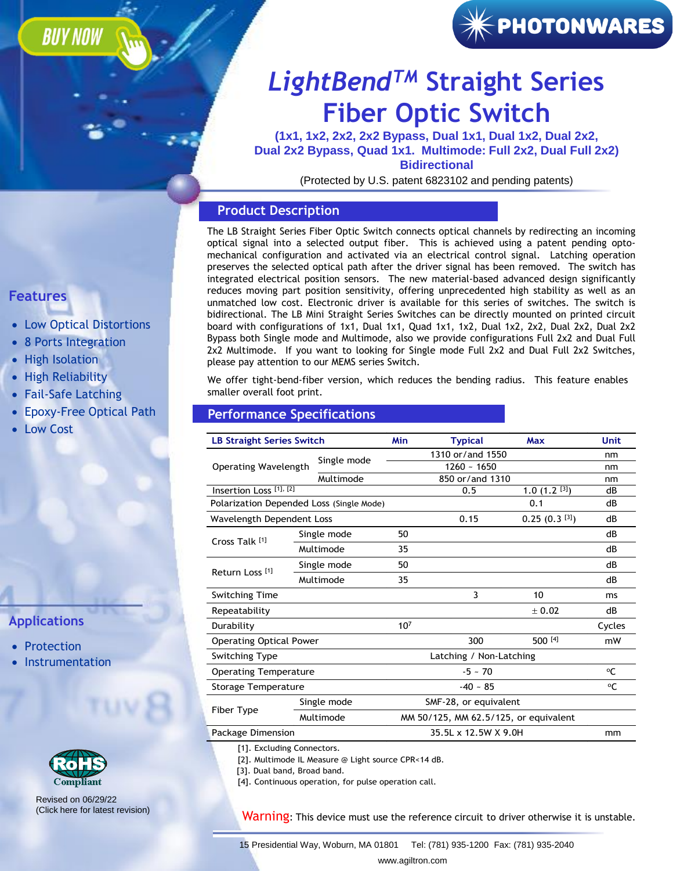### **BUY NOW**



### *LightBendTM* **Straight Series [Fiber Optic Switch](https://agiltron.com/sl/nkru)**

**(1x1, 1x2, 2x2, 2x2 Bypass, Dual 1x1, Dual 1x2, Dual 2x2, Dual 2x2 Bypass, Quad 1x1. Multimode: Full 2x2, Dual Full 2x2) Bidirectional**

(Protected by U.S. patent 6823102 and pending patents)

### **Product Description**

The LB Straight Series Fiber Optic Switch connects optical channels by redirecting an incoming optical signal into a selected output fiber. This is achieved using a patent pending optomechanical configuration and activated via an electrical control signal. Latching operation preserves the selected optical path after the driver signal has been removed. The switch has integrated electrical position sensors. The new material-based advanced design significantly reduces moving part position sensitivity, offering unprecedented high stability as well as an unmatched low cost. Electronic driver is available for this series of switches. The switch is bidirectional. The LB Mini Straight Series Switches can be directly mounted on printed circuit board with configurations of 1x1, Dual 1x1, Quad 1x1, 1x2, Dual 1x2, 2x2, Dual 2x2, Dual 2x2 Bypass both Single mode and Multimode, also we provide configurations Full 2x2 and Dual Full 2x2 Multimode. If you want to looking for Single mode Full 2x2 and Dual Full 2x2 Switches, please pay attention to our MEMS series Switch.

We offer tight-bend-fiber version, which reduces the bending radius. This feature enables smaller overall foot print.

#### **Performance Specifications**

| <b>LB Straight Series Switch</b>         |             |             | Min                                   | <b>Typical</b>   | Max                         | Unit   |  |  |  |  |
|------------------------------------------|-------------|-------------|---------------------------------------|------------------|-----------------------------|--------|--|--|--|--|
|                                          |             | Single mode |                                       | 1310 or/and 1550 | nm                          |        |  |  |  |  |
| Operating Wavelength                     |             |             |                                       | $1260 - 1650$    |                             |        |  |  |  |  |
|                                          |             | Multimode   |                                       | 850 or/and 1310  |                             |        |  |  |  |  |
| Insertion Loss <sup>[1],[2]</sup>        |             |             |                                       | 0.5              | 1.0 $(1.2$ <sup>[3]</sup> ) | dB     |  |  |  |  |
| Polarization Depended Loss (Single Mode) |             |             |                                       |                  | 0.1                         | dB     |  |  |  |  |
| Wavelength Dependent Loss                |             |             |                                       | 0.15             | $0.25(0.3^{[3]})$           | dB     |  |  |  |  |
| Cross Talk [1]                           |             | Single mode | 50                                    |                  |                             | dB     |  |  |  |  |
|                                          | Multimode   |             | 35                                    |                  |                             | dB     |  |  |  |  |
| Return Loss <sup>[1]</sup>               | Single mode |             | 50                                    |                  |                             | dB     |  |  |  |  |
|                                          |             | Multimode   | 35                                    |                  |                             | dB     |  |  |  |  |
| <b>Switching Time</b>                    |             |             |                                       | 3                | 10                          | ms     |  |  |  |  |
| Repeatability                            |             |             |                                       |                  | ± 0.02                      | dB     |  |  |  |  |
| Durability                               |             |             | 10 <sup>7</sup>                       |                  |                             | Cycles |  |  |  |  |
| <b>Operating Optical Power</b>           |             |             |                                       | 300              | 500 [4]                     | mW     |  |  |  |  |
| <b>Switching Type</b>                    |             |             | Latching / Non-Latching               |                  |                             |        |  |  |  |  |
| <b>Operating Temperature</b>             |             |             |                                       |                  | $^{\circ}C$                 |        |  |  |  |  |
| Storage Temperature                      |             |             |                                       | $^{\circ}C$      |                             |        |  |  |  |  |
|                                          | Single mode |             |                                       |                  |                             |        |  |  |  |  |
| Fiber Type                               |             | Multimode   | MM 50/125, MM 62.5/125, or equivalent |                  |                             |        |  |  |  |  |
| Package Dimension                        |             |             | mm                                    |                  |                             |        |  |  |  |  |

[1]. Excluding Connectors.

[2]. Multimode IL Measure @ Light source CPR<14 dB.

[3]. Dual band, Broad band.

[4]. Continuous operation, for pulse operation call.

Warning: This device must use the reference circuit to driver otherwise it is unstable.

**Features**

- Low Optical Distortions
- 8 Ports Integration
- High Isolation
- High Reliability
- Fail-Safe Latching
- Epoxy-Free Optical Path
- Low Cost

### **Applications**

- Protection
- **Instrumentation**



Revised on 06/29/22 [\(Click here for latest revision\)](https://agiltron.com/dlc/specs/LB%20Straight%20Series%20Switch.pdf)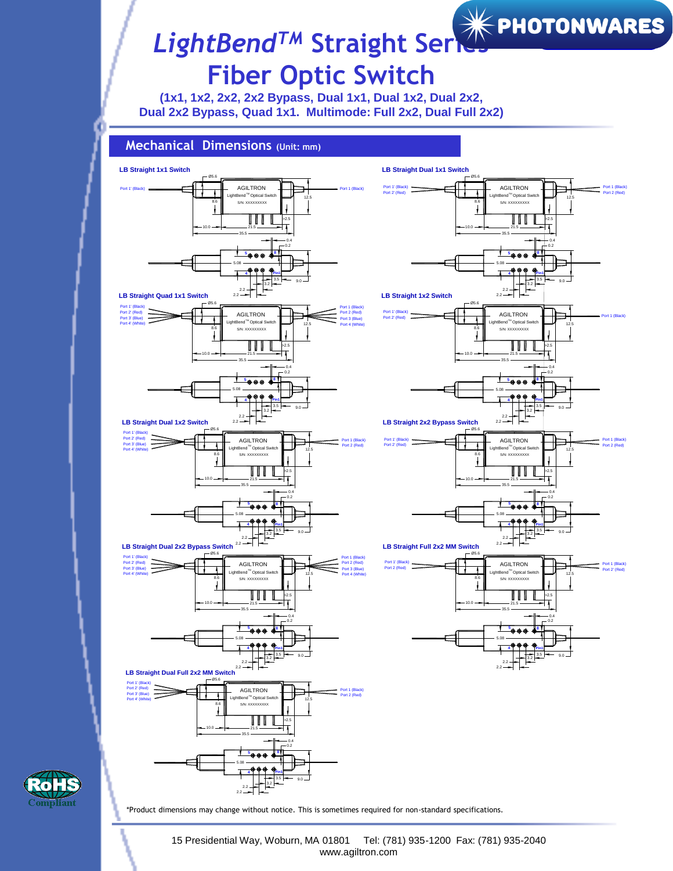# *LightBendTM* **Straight Se[ries](https://photonwares.com/)  Fiber Optic Switch**

**(1x1, 1x2, 2x2, 2x2 Bypass, Dual 1x1, Dual 1x2, Dual 2x2, Dual 2x2 Bypass, Quad 1x1. Multimode: Full 2x2, Dual Full 2x2)**





\*Product dimensions may change without notice. This is sometimes required for non-standard specifications.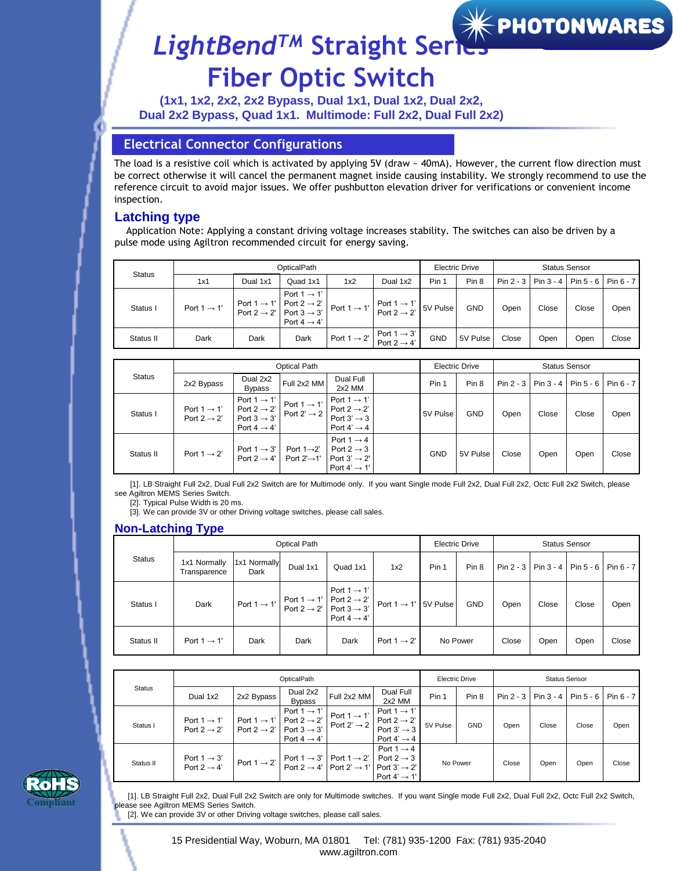

### *LightBendTM* **Straight Se[ries](https://photonwares.com/)  Fiber Optic Switch**

**(1x1, 1x2, 2x2, 2x2 Bypass, Dual 1x1, Dual 1x2, Dual 2x2, Dual 2x2 Bypass, Quad 1x1. Multimode: Full 2x2, Dual Full 2x2)**

### **Electrical Connector Configurations**

The load is a resistive coil which is activated by applying 5V (draw ~ 40mA). However, the current flow direction must be correct otherwise it will cancel the permanent magnet inside causing instability. We strongly recommend to use the reference circuit to avoid major issues. We offer pushbutton elevation driver for verifications or convenient income inspection.

#### **Latching type**

Application Note: Applying a constant driving voltage increases stability. The switches can also be driven by a pulse mode using Agiltron recommended circuit for energy saving.

| <b>Status</b> |                         |                                                                                                    | OpticalPath                                        |                                                          | <b>Electric Drive</b>                           |            | <b>Status Sensor</b> |       |                           |                                          |       |
|---------------|-------------------------|----------------------------------------------------------------------------------------------------|----------------------------------------------------|----------------------------------------------------------|-------------------------------------------------|------------|----------------------|-------|---------------------------|------------------------------------------|-------|
|               | 1x1                     | Dual 1x1                                                                                           | Quad 1x1                                           | 1x2                                                      | Dual 1x2                                        | Pin 1      | Pin 8                |       | $Pin 2 - 3$   $Pin 3 - 4$ | $\mid$ Pin 5 - 6 $\mid$ Pin 6 - 7 $\mid$ |       |
| Status I      | Port $1 \rightarrow 1'$ | Port 1 $\rightarrow$ 1' Port 2 $\rightarrow$ 2'<br>Port 2 $\rightarrow$ 2' Port 3 $\rightarrow$ 3' | Port $1 \rightarrow 1'$<br>Port $4 \rightarrow 4'$ | Port 1 $\rightarrow$ 1' Port 1 $\rightarrow$ 1' 5V Pulse |                                                 |            | <b>GND</b>           | Open  | Close                     | Close                                    | Open  |
| Status II     | Dark                    | Dark                                                                                               | Dark                                               |                                                          | Port 1 $\rightarrow$ 2' Port 1 $\rightarrow$ 3' | <b>GND</b> | 5V Pulse             | Close | Open                      | Open                                     | Close |

| <b>Status</b> |                                                    | <b>Optical Path</b>                                                                                      | <b>Electric Drive</b>                              |                                                                                                          | <b>Status Sensor</b> |            |            |       |                       |       |                       |
|---------------|----------------------------------------------------|----------------------------------------------------------------------------------------------------------|----------------------------------------------------|----------------------------------------------------------------------------------------------------------|----------------------|------------|------------|-------|-----------------------|-------|-----------------------|
|               | 2x2 Bypass                                         | Dual 2x2<br><b>Bypass</b>                                                                                | Full 2x2 MM                                        | Dual Full<br>2x2 MM                                                                                      |                      | Pin 1      | Pin 8      |       | Pin 2 - 3   Pin 3 - 4 |       | Pin 5 - 6   Pin 6 - 7 |
| Status I      | Port $1 \rightarrow 1'$<br>Port $2 \rightarrow 2'$ | Port 1 $\rightarrow$ 1'<br>Port 2 $\rightarrow$ 2'<br>Port $3 \rightarrow 3'$<br>Port $4 \rightarrow 4'$ | Port $1 \rightarrow 1'$<br>Port 2' $\rightarrow$ 2 | Port $1 \rightarrow 1'$<br>Port $2 \rightarrow 2'$<br>Port $3' \rightarrow 3$<br>Port $4' \rightarrow 4$ |                      | 5V Pulse   | <b>GND</b> | Open  | Close                 | Close | Open                  |
| Status II     | Port $1 \rightarrow 2'$                            | Port $1 \rightarrow 3'$<br>Port $2 \rightarrow 4'$                                                       | Port $1\rightarrow 2'$<br>Port $2' \rightarrow 1'$ | Port $1 \rightarrow 4$<br>Port 2 $\rightarrow$ 3<br>Port $3' \rightarrow 2'$<br>Port $4' \rightarrow 1'$ |                      | <b>GND</b> | 5V Pulse   | Close | Open                  | Open  | Close                 |

[1]. LB Straight Full 2x2, Dual Full 2x2 Switch are for Multimode only. If you want Single mode Full 2x2, Dual Full 2x2, Octc Full 2x2 Switch, please see Agiltron MEMS Series Switch.

[2]. Typical Pulse Width is 20 ms.

[3]. We can provide 3V or other Driving voltage switches, please call sales.

### **Non-Latching Type**

|               |                              |                      | <b>Optical Path</b> |                                                                                                                                                       | <b>Electric Drive</b>            |          | <b>Status Sensor</b> |                  |             |           |           |
|---------------|------------------------------|----------------------|---------------------|-------------------------------------------------------------------------------------------------------------------------------------------------------|----------------------------------|----------|----------------------|------------------|-------------|-----------|-----------|
| <b>Status</b> | 1x1 Normally<br>Transparence | 1x1 Normally<br>Dark | Dual 1x1            | Quad 1x1                                                                                                                                              | 1x2                              | Pin 1    | Pin <sub>8</sub>     | Pin 2 - $3 \mid$ | Pin $3 - 4$ | Pin 5 - 6 | Pin 6 - 7 |
| Status I      | Dark                         |                      |                     | Port 1 $\rightarrow$ 1'<br>Port 1 $\rightarrow$ 1' Port 1 $\rightarrow$ 1' Port 2 $\rightarrow$ 2' Port 3 $\rightarrow$ 3'<br>Port $4 \rightarrow 4'$ | Port $1 \rightarrow 1'$ 5V Pulse |          | <b>GND</b>           | Open             | Close       | Close     | Open      |
| Status II     | Port $1 \rightarrow 1'$      | Dark                 | Dark                | Dark                                                                                                                                                  | Port $1 \rightarrow 2'$          | No Power |                      | Close            | Open        | Open      | Close     |

| <b>Status</b> |                                                    | OpticalPath | <b>Electric Drive</b>                                                                                                                                                       |             | <b>Status Sensor</b>                               |          |            |                  |             |       |                         |
|---------------|----------------------------------------------------|-------------|-----------------------------------------------------------------------------------------------------------------------------------------------------------------------------|-------------|----------------------------------------------------|----------|------------|------------------|-------------|-------|-------------------------|
|               | Dual 1x2                                           | 2x2 Bypass  | Dual 2x2<br><b>Bypass</b>                                                                                                                                                   | Full 2x2 MM | Dual Full<br>2x2 MM                                | Pin 1    | Pin 8      | Pin 2 - $3 \mid$ | Pin $3 - 4$ |       | $Pin 5 - 6$   Pin 6 - 7 |
| Status I      | Port $1 \rightarrow 1'$<br>Port $2 \rightarrow 2'$ |             | Port 1 → 1'<br>Port 1 → 1'<br>Port 2 → 2'<br>Port 2' → 2'<br>Port 2' → 2'<br>Port 3 → 3'<br>Port 2' → 2'<br>Port 3' → 3'<br>Port $4 \rightarrow 4'$                         |             | Port $4' \rightarrow 4$                            | 5V Pulse | <b>GND</b> | Open             | Close       | Close | Open                    |
| Status II     | Port $1 \rightarrow 3'$<br>Port $2 \rightarrow 4'$ |             | Port $1 \rightarrow 2'$ Port $1 \rightarrow 3'$ Port $1 \rightarrow 2'$ Port $2 \rightarrow 3$<br>Port $2 \rightarrow 4'$ Port $2' \rightarrow 1'$ Port $3' \rightarrow 2'$ |             | Port $1 \rightarrow 4$<br>Port $4' \rightarrow 1'$ | No Power |            | Close            | Open        | Open  | Close                   |



[1]. LB Straight Full 2x2, Dual Full 2x2 Switch are only for Multimode switches. If you want Single mode Full 2x2, Dual Full 2x2, Octc Full 2x2 Switch, ease see Agiltron MEMS Series Switch.

[2]. We can provide 3V or other Driving voltage switches, please call sales.